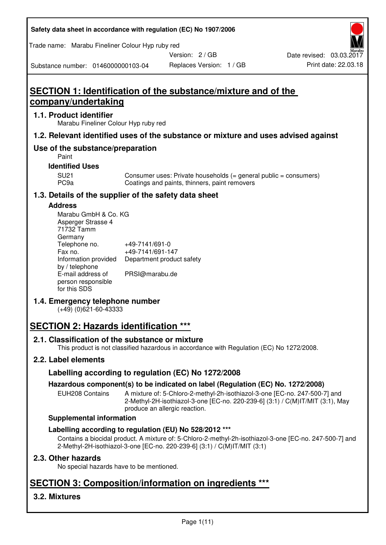| Safety data sheet in accordance with regulation (EC) No 1907/2006 |  |
|-------------------------------------------------------------------|--|
|-------------------------------------------------------------------|--|

Trade name: Marabu Fineliner Colour Hyp ruby red

Version: 2 / GB

Replaces Version: 1 / GB Print date: 22.03.18 Date revised: 03.03.2017

Substance number: 0146000000103-04

# **SECTION 1: Identification of the substance/mixture and of the company/undertaking**

## **1.1. Product identifier**

Marabu Fineliner Colour Hyp ruby red

# **1.2. Relevant identified uses of the substance or mixture and uses advised against**

# **Use of the substance/preparation**

Paint

### **Identified Uses**

SU21 Consumer uses: Private households (= general public = consumers)<br>PC9a Coatings and paints, thinners, paint removers Coatings and paints, thinners, paint removers

# **1.3. Details of the supplier of the safety data sheet**

## **Address**

| Marabu GmbH & Co. KG |                           |
|----------------------|---------------------------|
| Asperger Strasse 4   |                           |
| 71732 Tamm           |                           |
| Germany              |                           |
| Telephone no.        | +49-7141/691-0            |
| Fax no.              | +49-7141/691-147          |
| Information provided | Department product safety |
| by / telephone       |                           |
| E-mail address of    | PRSI@marabu.de            |
| person responsible   |                           |
| for this SDS         |                           |

# **1.4. Emergency telephone number**

(+49) (0)621-60-43333

# **SECTION 2: Hazards identification \*\*\***

## **2.1. Classification of the substance or mixture**

This product is not classified hazardous in accordance with Regulation (EC) No 1272/2008.

# **2.2. Label elements**

## **Labelling according to regulation (EC) No 1272/2008**

## **Hazardous component(s) to be indicated on label (Regulation (EC) No. 1272/2008)**

EUH208 Contains A mixture of: 5-Chloro-2-methyl-2h-isothiazol-3-one [EC-no. 247-500-7] and 2-Methyl-2H-isothiazol-3-one [EC-no. 220-239-6] (3:1) / C(M)IT/MIT (3:1), May produce an allergic reaction.

#### **Supplemental information**

## **Labelling according to regulation (EU) No 528/2012 \*\*\***

Contains a biocidal product. A mixture of: 5-Chloro-2-methyl-2h-isothiazol-3-one [EC-no. 247-500-7] and 2-Methyl-2H-isothiazol-3-one [EC-no. 220-239-6] (3:1) / C(M)IT/MIT (3:1)

## **2.3. Other hazards**

No special hazards have to be mentioned.

# **SECTION 3: Composition/information on ingredients \*\*\***

# **3.2. Mixtures**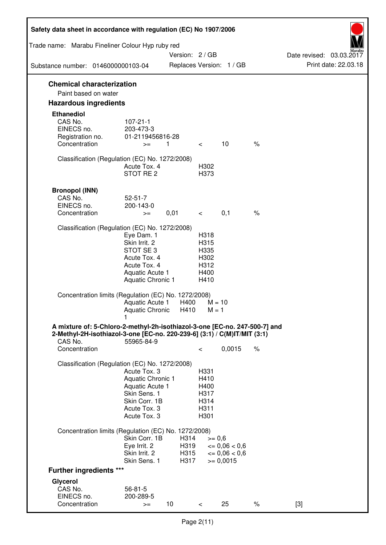| Safety data sheet in accordance with regulation (EC) No 1907/2006                                                                                                 |                                                                                                                       |                      |                                                      |                                              |      |                          |
|-------------------------------------------------------------------------------------------------------------------------------------------------------------------|-----------------------------------------------------------------------------------------------------------------------|----------------------|------------------------------------------------------|----------------------------------------------|------|--------------------------|
| Trade name: Marabu Fineliner Colour Hyp ruby red                                                                                                                  |                                                                                                                       | Version: 2 / GB      |                                                      |                                              |      | Date revised: 03.03.2017 |
| Substance number: 0146000000103-04                                                                                                                                |                                                                                                                       |                      |                                                      | Replaces Version: 1 / GB                     |      | Print date: 22.03.18     |
| <b>Chemical characterization</b><br>Paint based on water                                                                                                          |                                                                                                                       |                      |                                                      |                                              |      |                          |
| <b>Hazardous ingredients</b>                                                                                                                                      |                                                                                                                       |                      |                                                      |                                              |      |                          |
| <b>Ethanediol</b><br>CAS No.<br>EINECS no.<br>Registration no.<br>Concentration                                                                                   | $107 - 21 - 1$<br>203-473-3<br>01-2119456816-28<br>$>=$                                                               | $\overline{1}$       | $\lt$                                                | 10                                           | $\%$ |                          |
| Classification (Regulation (EC) No. 1272/2008)                                                                                                                    | Acute Tox, 4<br>STOT RE <sub>2</sub>                                                                                  |                      | H302<br>H373                                         |                                              |      |                          |
| <b>Bronopol (INN)</b><br>CAS No.<br>EINECS no.<br>Concentration                                                                                                   | $52 - 51 - 7$<br>200-143-0<br>$>=$                                                                                    | 0,01                 | $\overline{\phantom{0}}$                             | 0,1                                          | $\%$ |                          |
| Classification (Regulation (EC) No. 1272/2008)                                                                                                                    | Eye Dam. 1<br>Skin Irrit. 2<br>STOT SE3<br>Acute Tox. 4<br>Acute Tox. 4<br>Aquatic Acute 1<br>Aquatic Chronic 1       |                      | H318<br>H315<br>H335<br>H302<br>H312<br>H400<br>H410 |                                              |      |                          |
| Concentration limits (Regulation (EC) No. 1272/2008)                                                                                                              | Aquatic Acute 1<br>Aquatic Chronic                                                                                    | H400<br>H410         | $M = 10$<br>$M = 1$                                  |                                              |      |                          |
| A mixture of: 5-Chloro-2-methyl-2h-isothiazol-3-one [EC-no. 247-500-7] and<br>2-Methyl-2H-isothiazol-3-one [EC-no. 220-239-6] (3:1) / C(M)IT/MIT (3:1)<br>CAS No. | 55965-84-9                                                                                                            |                      |                                                      |                                              |      |                          |
| Concentration                                                                                                                                                     |                                                                                                                       |                      | $\,<\,$                                              | 0,0015                                       | $\%$ |                          |
| Classification (Regulation (EC) No. 1272/2008)                                                                                                                    | Acute Tox. 3<br>Aquatic Chronic 1<br>Aquatic Acute 1<br>Skin Sens. 1<br>Skin Corr. 1B<br>Acute Tox. 3<br>Acute Tox. 3 |                      | H331<br>H410<br>H400<br>H317<br>H314<br>H311<br>H301 |                                              |      |                          |
| Concentration limits (Regulation (EC) No. 1272/2008)                                                                                                              | Skin Corr. 1B<br>Eye Irrit. 2<br>Skin Irrit. 2                                                                        | H314<br>H319<br>H315 | $>= 0,6$                                             | $\epsilon = 0.06 < 0.6$<br>$\leq 0.06 < 0.6$ |      |                          |
| <b>Further ingredients ***</b>                                                                                                                                    | Skin Sens. 1                                                                                                          | H317                 |                                                      | $>= 0,0015$                                  |      |                          |
| Glycerol                                                                                                                                                          |                                                                                                                       |                      |                                                      |                                              |      |                          |
| CAS No.<br>EINECS no.<br>Concentration                                                                                                                            | $56 - 81 - 5$<br>200-289-5<br>$>=$                                                                                    | 10                   | $\lt$                                                | 25                                           | $\%$ | $[3]$                    |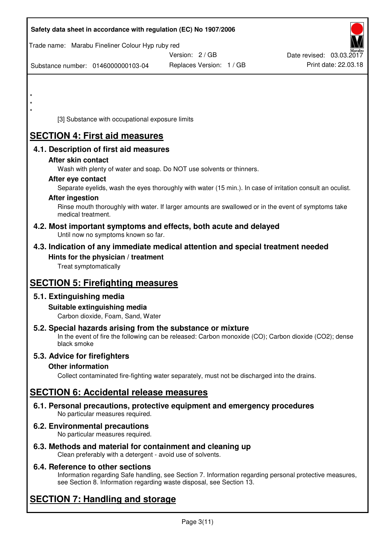| Safety data sheet in accordance with regulation (EC) No 1907/2006                                                       |                                                                                                            |                          |
|-------------------------------------------------------------------------------------------------------------------------|------------------------------------------------------------------------------------------------------------|--------------------------|
| Trade name: Marabu Fineliner Colour Hyp ruby red                                                                        |                                                                                                            |                          |
|                                                                                                                         | Version: 2 / GB                                                                                            | Date revised: 03.03.2017 |
| Substance number: 0146000000103-04                                                                                      | Replaces Version: 1 / GB                                                                                   | Print date: 22.03.18     |
|                                                                                                                         |                                                                                                            |                          |
| $\star$                                                                                                                 |                                                                                                            |                          |
|                                                                                                                         |                                                                                                            |                          |
| $\star$                                                                                                                 |                                                                                                            |                          |
| [3] Substance with occupational exposure limits                                                                         |                                                                                                            |                          |
| <b>SECTION 4: First aid measures</b>                                                                                    |                                                                                                            |                          |
| 4.1. Description of first aid measures                                                                                  |                                                                                                            |                          |
| After skin contact                                                                                                      |                                                                                                            |                          |
| Wash with plenty of water and soap. Do NOT use solvents or thinners.                                                    |                                                                                                            |                          |
| After eye contact                                                                                                       | Separate eyelids, wash the eyes thoroughly with water (15 min.). In case of irritation consult an oculist. |                          |
| <b>After ingestion</b>                                                                                                  |                                                                                                            |                          |
| medical treatment.                                                                                                      | Rinse mouth thoroughly with water. If larger amounts are swallowed or in the event of symptoms take        |                          |
| 4.2. Most important symptoms and effects, both acute and delayed<br>Until now no symptoms known so far.                 |                                                                                                            |                          |
| 4.3. Indication of any immediate medical attention and special treatment needed                                         |                                                                                                            |                          |
| Hints for the physician / treatment<br>Treat symptomatically                                                            |                                                                                                            |                          |
| <b>SECTION 5: Firefighting measures</b>                                                                                 |                                                                                                            |                          |
| 5.1. Extinguishing media                                                                                                |                                                                                                            |                          |
| Suitable extinguishing media<br>Carbon dioxide, Foam, Sand, Water                                                       |                                                                                                            |                          |
| 5.2. Special hazards arising from the substance or mixture<br>black smoke                                               | In the event of fire the following can be released: Carbon monoxide (CO); Carbon dioxide (CO2); dense      |                          |
| 5.3. Advice for firefighters                                                                                            |                                                                                                            |                          |
| <b>Other information</b>                                                                                                |                                                                                                            |                          |
|                                                                                                                         | Collect contaminated fire-fighting water separately, must not be discharged into the drains.               |                          |
| <b>SECTION 6: Accidental release measures</b>                                                                           |                                                                                                            |                          |
| 6.1. Personal precautions, protective equipment and emergency procedures<br>No particular measures required.            |                                                                                                            |                          |
| 6.2. Environmental precautions<br>No particular measures required.                                                      |                                                                                                            |                          |
| 6.3. Methods and material for containment and cleaning up<br>Clean preferably with a detergent - avoid use of solvents. |                                                                                                            |                          |

# **6.4. Reference to other sections**

Information regarding Safe handling, see Section 7. Information regarding personal protective measures, see Section 8. Information regarding waste disposal, see Section 13.

# **SECTION 7: Handling and storage**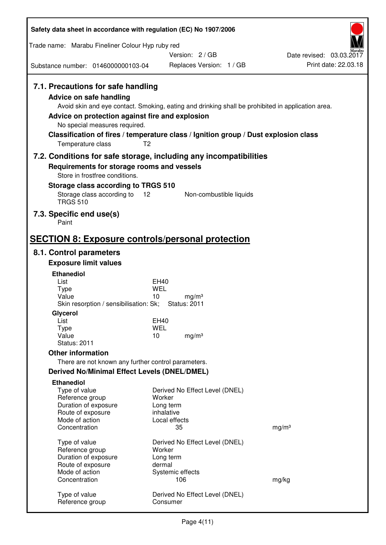| Safety data sheet in accordance with regulation (EC) No 1907/2006                                                                                                             |                                                                                                                                                                                                            |                                                  |
|-------------------------------------------------------------------------------------------------------------------------------------------------------------------------------|------------------------------------------------------------------------------------------------------------------------------------------------------------------------------------------------------------|--------------------------------------------------|
| Trade name: Marabu Fineliner Colour Hyp ruby red                                                                                                                              |                                                                                                                                                                                                            |                                                  |
|                                                                                                                                                                               | Version: 2 / GB                                                                                                                                                                                            | Date revised: 03.03.2017<br>Print date: 22.03.18 |
| Substance number: 0146000000103-04                                                                                                                                            | Replaces Version: 1 / GB                                                                                                                                                                                   |                                                  |
| 7.1. Precautions for safe handling<br><b>Advice on safe handling</b><br>Advice on protection against fire and explosion<br>No special measures required.<br>Temperature class | Avoid skin and eye contact. Smoking, eating and drinking shall be prohibited in application area.<br>Classification of fires / temperature class / Ignition group / Dust explosion class<br>T <sub>2</sub> |                                                  |
|                                                                                                                                                                               | 7.2. Conditions for safe storage, including any incompatibilities                                                                                                                                          |                                                  |
| Requirements for storage rooms and vessels                                                                                                                                    |                                                                                                                                                                                                            |                                                  |
| Store in frostfree conditions.<br>Storage class according to TRGS 510                                                                                                         |                                                                                                                                                                                                            |                                                  |
| Storage class according to                                                                                                                                                    | 12<br>Non-combustible liquids                                                                                                                                                                              |                                                  |
| <b>TRGS 510</b>                                                                                                                                                               |                                                                                                                                                                                                            |                                                  |
| 7.3. Specific end use(s)<br>Paint                                                                                                                                             |                                                                                                                                                                                                            |                                                  |
| <b>SECTION 8: Exposure controls/personal protection</b>                                                                                                                       |                                                                                                                                                                                                            |                                                  |
| 8.1. Control parameters                                                                                                                                                       |                                                                                                                                                                                                            |                                                  |
| <b>Exposure limit values</b>                                                                                                                                                  |                                                                                                                                                                                                            |                                                  |
| <b>Ethanediol</b>                                                                                                                                                             |                                                                                                                                                                                                            |                                                  |
| List<br><b>Type</b>                                                                                                                                                           | <b>EH40</b><br><b>WEL</b>                                                                                                                                                                                  |                                                  |
| Value                                                                                                                                                                         | 10<br>mg/m <sup>3</sup>                                                                                                                                                                                    |                                                  |
| Skin resorption / sensibilisation: Sk;<br>Glycerol                                                                                                                            | <b>Status: 2011</b>                                                                                                                                                                                        |                                                  |
| List                                                                                                                                                                          | EH40                                                                                                                                                                                                       |                                                  |
| <b>Type</b><br>Value                                                                                                                                                          | <b>WEL</b><br>10<br>mg/m <sup>3</sup>                                                                                                                                                                      |                                                  |
| <b>Status: 2011</b>                                                                                                                                                           |                                                                                                                                                                                                            |                                                  |
| <b>Other information</b>                                                                                                                                                      |                                                                                                                                                                                                            |                                                  |
| There are not known any further control parameters.                                                                                                                           |                                                                                                                                                                                                            |                                                  |
| <b>Derived No/Minimal Effect Levels (DNEL/DMEL)</b><br><b>Ethanediol</b>                                                                                                      |                                                                                                                                                                                                            |                                                  |
| Type of value                                                                                                                                                                 | Derived No Effect Level (DNEL)                                                                                                                                                                             |                                                  |
| Reference group<br>Duration of exposure                                                                                                                                       | Worker<br>Long term                                                                                                                                                                                        |                                                  |
| Route of exposure                                                                                                                                                             | inhalative                                                                                                                                                                                                 |                                                  |
| Mode of action<br>Concentration                                                                                                                                               | Local effects<br>35                                                                                                                                                                                        | mg/m <sup>3</sup>                                |
|                                                                                                                                                                               |                                                                                                                                                                                                            |                                                  |
| Type of value<br>Reference group                                                                                                                                              | Derived No Effect Level (DNEL)<br>Worker                                                                                                                                                                   |                                                  |
| Duration of exposure                                                                                                                                                          | Long term                                                                                                                                                                                                  |                                                  |
| Route of exposure<br>Mode of action                                                                                                                                           | dermal                                                                                                                                                                                                     |                                                  |
| Concentration                                                                                                                                                                 | Systemic effects<br>106                                                                                                                                                                                    | mg/kg                                            |
| Type of value                                                                                                                                                                 | Derived No Effect Level (DNEL)                                                                                                                                                                             |                                                  |
| Reference group                                                                                                                                                               | Consumer                                                                                                                                                                                                   |                                                  |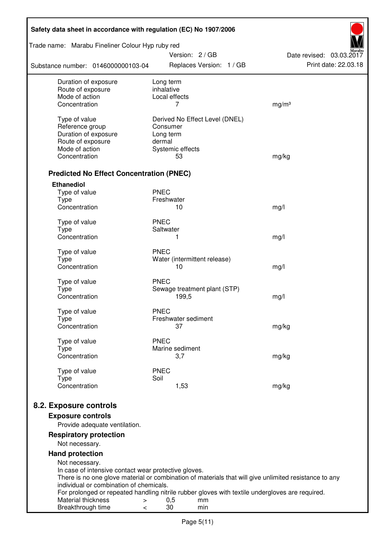| Safety data sheet in accordance with regulation (EC) No 1907/2006                                                                          |                         |                        |                                |                          |
|--------------------------------------------------------------------------------------------------------------------------------------------|-------------------------|------------------------|--------------------------------|--------------------------|
| Trade name: Marabu Fineliner Colour Hyp ruby red                                                                                           |                         | Version: 2 / GB        |                                | Date revised: 03.03.2017 |
| Substance number: 0146000000103-04                                                                                                         |                         |                        | Replaces Version: 1 / GB       | Print date: 22.03.18     |
| Duration of exposure<br>Route of exposure                                                                                                  | Long term<br>inhalative |                        |                                |                          |
| Mode of action                                                                                                                             |                         | Local effects          |                                |                          |
| Concentration                                                                                                                              |                         | 7                      |                                | mg/m <sup>3</sup>        |
| Type of value                                                                                                                              |                         |                        | Derived No Effect Level (DNEL) |                          |
| Reference group                                                                                                                            | Consumer                |                        |                                |                          |
| Duration of exposure                                                                                                                       | Long term               |                        |                                |                          |
| Route of exposure                                                                                                                          | dermal                  |                        |                                |                          |
| Mode of action                                                                                                                             |                         | Systemic effects       |                                |                          |
| Concentration                                                                                                                              |                         | 53                     |                                | mg/kg                    |
| <b>Predicted No Effect Concentration (PNEC)</b>                                                                                            |                         |                        |                                |                          |
| <b>Ethanediol</b>                                                                                                                          |                         |                        |                                |                          |
| Type of value                                                                                                                              | <b>PNEC</b>             |                        |                                |                          |
| <b>Type</b><br>Concentration                                                                                                               | Freshwater              | 10                     |                                | mg/l                     |
|                                                                                                                                            |                         |                        |                                |                          |
| Type of value                                                                                                                              | <b>PNEC</b>             |                        |                                |                          |
| <b>Type</b>                                                                                                                                | Saltwater               |                        |                                |                          |
| Concentration                                                                                                                              |                         | 1                      |                                | mg/l                     |
| Type of value                                                                                                                              | <b>PNEC</b>             |                        |                                |                          |
| <b>Type</b>                                                                                                                                |                         |                        | Water (intermittent release)   |                          |
| Concentration                                                                                                                              |                         | 10                     |                                | mg/l                     |
| Type of value                                                                                                                              | <b>PNEC</b>             |                        |                                |                          |
| <b>Type</b>                                                                                                                                |                         |                        | Sewage treatment plant (STP)   |                          |
| Concentration                                                                                                                              |                         | 199,5                  |                                | mg/l                     |
|                                                                                                                                            |                         |                        |                                |                          |
| Type of value<br>Type                                                                                                                      | <b>PNEC</b>             | Freshwater sediment    |                                |                          |
| Concentration                                                                                                                              |                         | 37                     |                                | mg/kg                    |
|                                                                                                                                            |                         |                        |                                |                          |
| Type of value                                                                                                                              | <b>PNEC</b>             |                        |                                |                          |
| Type<br>Concentration                                                                                                                      |                         | Marine sediment<br>3,7 |                                | mg/kg                    |
|                                                                                                                                            |                         |                        |                                |                          |
| Type of value                                                                                                                              | <b>PNEC</b>             |                        |                                |                          |
| <b>Type</b><br>Concentration                                                                                                               | Soil                    |                        |                                |                          |
|                                                                                                                                            |                         | 1,53                   |                                | mg/kg                    |
| 8.2. Exposure controls                                                                                                                     |                         |                        |                                |                          |
| <b>Exposure controls</b>                                                                                                                   |                         |                        |                                |                          |
| Provide adequate ventilation.                                                                                                              |                         |                        |                                |                          |
| <b>Respiratory protection</b>                                                                                                              |                         |                        |                                |                          |
| Not necessary.                                                                                                                             |                         |                        |                                |                          |
| <b>Hand protection</b>                                                                                                                     |                         |                        |                                |                          |
| Not necessary.                                                                                                                             |                         |                        |                                |                          |
| In case of intensive contact wear protective gloves.                                                                                       |                         |                        |                                |                          |
| There is no one glove material or combination of materials that will give unlimited resistance to any                                      |                         |                        |                                |                          |
| individual or combination of chemicals.<br>For prolonged or repeated handling nitrile rubber gloves with textile undergloves are required. |                         |                        |                                |                          |
| Material thickness<br>$\, > \,$                                                                                                            |                         | 0,5                    | mm                             |                          |
| Breakthrough time<br>$\,<\,$                                                                                                               |                         | 30                     | min                            |                          |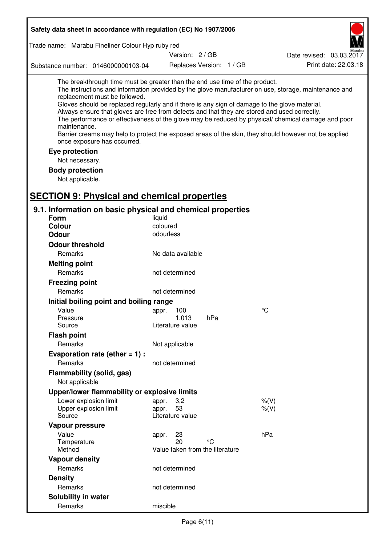| Safety data sheet in accordance with regulation (EC) No 1907/2006                                                                                                                                                                                                                                                                                                                                |                                                      |                          |                                                                                                                                                                                                                                                                                                                    |
|--------------------------------------------------------------------------------------------------------------------------------------------------------------------------------------------------------------------------------------------------------------------------------------------------------------------------------------------------------------------------------------------------|------------------------------------------------------|--------------------------|--------------------------------------------------------------------------------------------------------------------------------------------------------------------------------------------------------------------------------------------------------------------------------------------------------------------|
| Trade name: Marabu Fineliner Colour Hyp ruby red                                                                                                                                                                                                                                                                                                                                                 |                                                      |                          |                                                                                                                                                                                                                                                                                                                    |
|                                                                                                                                                                                                                                                                                                                                                                                                  | Version: 2 / GB                                      |                          | Date revised: 03.03.2017                                                                                                                                                                                                                                                                                           |
| Substance number: 0146000000103-04                                                                                                                                                                                                                                                                                                                                                               |                                                      | Replaces Version: 1 / GB | Print date: 22.03.18                                                                                                                                                                                                                                                                                               |
| The breakthrough time must be greater than the end use time of the product.<br>replacement must be followed.<br>Gloves should be replaced regularly and if there is any sign of damage to the glove material.<br>Always ensure that gloves are free from defects and that they are stored and used correctly.<br>maintenance.<br>once exposure has occurred.<br>Eye protection<br>Not necessary. |                                                      |                          | The instructions and information provided by the glove manufacturer on use, storage, maintenance and<br>The performance or effectiveness of the glove may be reduced by physical/ chemical damage and poor<br>Barrier creams may help to protect the exposed areas of the skin, they should however not be applied |
| <b>Body protection</b>                                                                                                                                                                                                                                                                                                                                                                           |                                                      |                          |                                                                                                                                                                                                                                                                                                                    |
| Not applicable.                                                                                                                                                                                                                                                                                                                                                                                  |                                                      |                          |                                                                                                                                                                                                                                                                                                                    |
| <b>SECTION 9: Physical and chemical properties</b>                                                                                                                                                                                                                                                                                                                                               |                                                      |                          |                                                                                                                                                                                                                                                                                                                    |
| 9.1. Information on basic physical and chemical properties                                                                                                                                                                                                                                                                                                                                       |                                                      |                          |                                                                                                                                                                                                                                                                                                                    |
| <b>Form</b>                                                                                                                                                                                                                                                                                                                                                                                      | liquid                                               |                          |                                                                                                                                                                                                                                                                                                                    |
| <b>Colour</b><br><b>Odour</b>                                                                                                                                                                                                                                                                                                                                                                    | coloured<br>odourless                                |                          |                                                                                                                                                                                                                                                                                                                    |
|                                                                                                                                                                                                                                                                                                                                                                                                  |                                                      |                          |                                                                                                                                                                                                                                                                                                                    |
| <b>Odour threshold</b><br>Remarks                                                                                                                                                                                                                                                                                                                                                                | No data available                                    |                          |                                                                                                                                                                                                                                                                                                                    |
|                                                                                                                                                                                                                                                                                                                                                                                                  |                                                      |                          |                                                                                                                                                                                                                                                                                                                    |
| <b>Melting point</b><br>Remarks                                                                                                                                                                                                                                                                                                                                                                  | not determined                                       |                          |                                                                                                                                                                                                                                                                                                                    |
| <b>Freezing point</b>                                                                                                                                                                                                                                                                                                                                                                            |                                                      |                          |                                                                                                                                                                                                                                                                                                                    |
| Remarks                                                                                                                                                                                                                                                                                                                                                                                          | not determined                                       |                          |                                                                                                                                                                                                                                                                                                                    |
| Initial boiling point and boiling range                                                                                                                                                                                                                                                                                                                                                          |                                                      |                          |                                                                                                                                                                                                                                                                                                                    |
| Value                                                                                                                                                                                                                                                                                                                                                                                            | 100                                                  |                          | $^{\circ}C$                                                                                                                                                                                                                                                                                                        |
| Pressure                                                                                                                                                                                                                                                                                                                                                                                         | appr.<br>1.013                                       | hPa                      |                                                                                                                                                                                                                                                                                                                    |
| Source                                                                                                                                                                                                                                                                                                                                                                                           | Literature value                                     |                          |                                                                                                                                                                                                                                                                                                                    |
| <b>Flash point</b>                                                                                                                                                                                                                                                                                                                                                                               |                                                      |                          |                                                                                                                                                                                                                                                                                                                    |
| Remarks                                                                                                                                                                                                                                                                                                                                                                                          | Not applicable                                       |                          |                                                                                                                                                                                                                                                                                                                    |
| Evaporation rate (ether $= 1$ ) :                                                                                                                                                                                                                                                                                                                                                                |                                                      |                          |                                                                                                                                                                                                                                                                                                                    |
| Remarks                                                                                                                                                                                                                                                                                                                                                                                          | not determined                                       |                          |                                                                                                                                                                                                                                                                                                                    |
| Flammability (solid, gas)<br>Not applicable                                                                                                                                                                                                                                                                                                                                                      |                                                      |                          |                                                                                                                                                                                                                                                                                                                    |
| Upper/lower flammability or explosive limits                                                                                                                                                                                                                                                                                                                                                     |                                                      |                          |                                                                                                                                                                                                                                                                                                                    |
| Lower explosion limit<br>Upper explosion limit<br>Source                                                                                                                                                                                                                                                                                                                                         | 3,2<br>appr.<br>53<br>appr.<br>Literature value      |                          | $%$ (V)<br>$%$ $(V)$                                                                                                                                                                                                                                                                                               |
| Vapour pressure                                                                                                                                                                                                                                                                                                                                                                                  |                                                      |                          |                                                                                                                                                                                                                                                                                                                    |
| Value<br>Temperature<br>Method                                                                                                                                                                                                                                                                                                                                                                   | 23<br>appr.<br>20<br>Value taken from the literature | °C                       | hPa                                                                                                                                                                                                                                                                                                                |
| <b>Vapour density</b>                                                                                                                                                                                                                                                                                                                                                                            |                                                      |                          |                                                                                                                                                                                                                                                                                                                    |
| Remarks                                                                                                                                                                                                                                                                                                                                                                                          | not determined                                       |                          |                                                                                                                                                                                                                                                                                                                    |
| <b>Density</b>                                                                                                                                                                                                                                                                                                                                                                                   |                                                      |                          |                                                                                                                                                                                                                                                                                                                    |
| Remarks                                                                                                                                                                                                                                                                                                                                                                                          | not determined                                       |                          |                                                                                                                                                                                                                                                                                                                    |
| Solubility in water                                                                                                                                                                                                                                                                                                                                                                              |                                                      |                          |                                                                                                                                                                                                                                                                                                                    |
| Remarks                                                                                                                                                                                                                                                                                                                                                                                          | miscible                                             |                          |                                                                                                                                                                                                                                                                                                                    |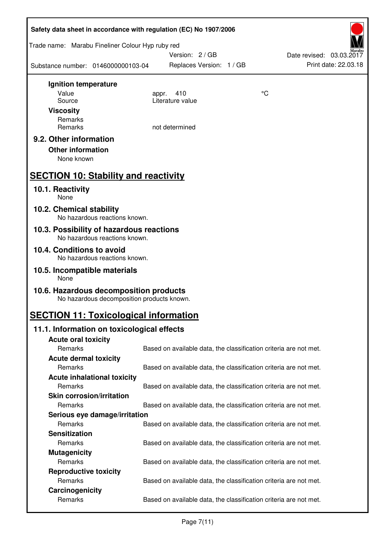| Safety data sheet in accordance with regulation (EC) No 1907/2006 |                                                                           |                                                                   |    |                          |  |
|-------------------------------------------------------------------|---------------------------------------------------------------------------|-------------------------------------------------------------------|----|--------------------------|--|
| Trade name: Marabu Fineliner Colour Hyp ruby red                  |                                                                           | Version: 2/GB                                                     |    | Date revised: 03.03.2017 |  |
| Substance number: 0146000000103-04                                |                                                                           | Replaces Version: 1 / GB                                          |    | Print date: 22.03.18     |  |
| Ignition temperature                                              |                                                                           |                                                                   |    |                          |  |
| Value                                                             |                                                                           | 410<br>appr.                                                      | °C |                          |  |
| Source                                                            |                                                                           | Literature value                                                  |    |                          |  |
| <b>Viscosity</b>                                                  |                                                                           |                                                                   |    |                          |  |
| Remarks                                                           |                                                                           |                                                                   |    |                          |  |
| Remarks                                                           |                                                                           | not determined                                                    |    |                          |  |
| 9.2. Other information                                            |                                                                           |                                                                   |    |                          |  |
| <b>Other information</b>                                          |                                                                           |                                                                   |    |                          |  |
| None known                                                        |                                                                           |                                                                   |    |                          |  |
| <b>SECTION 10: Stability and reactivity</b>                       |                                                                           |                                                                   |    |                          |  |
| 10.1. Reactivity<br>None                                          |                                                                           |                                                                   |    |                          |  |
| 10.2. Chemical stability                                          | No hazardous reactions known.                                             |                                                                   |    |                          |  |
|                                                                   | 10.3. Possibility of hazardous reactions<br>No hazardous reactions known. |                                                                   |    |                          |  |
| 10.4. Conditions to avoid                                         |                                                                           |                                                                   |    |                          |  |
|                                                                   | No hazardous reactions known.                                             |                                                                   |    |                          |  |
| 10.5. Incompatible materials<br>None                              |                                                                           |                                                                   |    |                          |  |
| 10.6. Hazardous decomposition products                            | No hazardous decomposition products known.                                |                                                                   |    |                          |  |
| <b>SECTION 11: Toxicological information</b>                      |                                                                           |                                                                   |    |                          |  |
|                                                                   | 11.1. Information on toxicological effects                                |                                                                   |    |                          |  |
| <b>Acute oral toxicity</b>                                        |                                                                           |                                                                   |    |                          |  |
| Remarks                                                           |                                                                           | Based on available data, the classification criteria are not met. |    |                          |  |
| <b>Acute dermal toxicity</b>                                      |                                                                           |                                                                   |    |                          |  |
| Remarks                                                           |                                                                           | Based on available data, the classification criteria are not met. |    |                          |  |
|                                                                   | <b>Acute inhalational toxicity</b>                                        |                                                                   |    |                          |  |
| Remarks                                                           |                                                                           | Based on available data, the classification criteria are not met. |    |                          |  |
| <b>Skin corrosion/irritation</b>                                  |                                                                           |                                                                   |    |                          |  |
| Remarks                                                           |                                                                           | Based on available data, the classification criteria are not met. |    |                          |  |
|                                                                   | Serious eye damage/irritation                                             |                                                                   |    |                          |  |
| Remarks                                                           |                                                                           | Based on available data, the classification criteria are not met. |    |                          |  |
| <b>Sensitization</b>                                              |                                                                           |                                                                   |    |                          |  |
| Remarks                                                           |                                                                           | Based on available data, the classification criteria are not met. |    |                          |  |
| <b>Mutagenicity</b>                                               |                                                                           |                                                                   |    |                          |  |
| Remarks                                                           |                                                                           | Based on available data, the classification criteria are not met. |    |                          |  |
| <b>Reproductive toxicity</b>                                      |                                                                           |                                                                   |    |                          |  |
| Remarks                                                           |                                                                           | Based on available data, the classification criteria are not met. |    |                          |  |
| Carcinogenicity                                                   |                                                                           |                                                                   |    |                          |  |
| Remarks                                                           |                                                                           | Based on available data, the classification criteria are not met. |    |                          |  |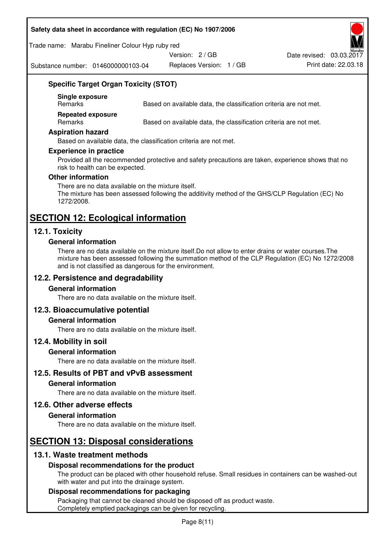#### **Safety data sheet in accordance with regulation (EC) No 1907/2006**

Trade name: Marabu Fineliner Colour Hyp ruby red

Version: 2 / GB

Substance number: 0146000000103-04

Replaces Version: 1 / GB Print date: 22.03.18 Date revised: 03.03.2017

# **Specific Target Organ Toxicity (STOT)**

**Single exposure** 

Based on available data, the classification criteria are not met.

**Repeated exposure** 

Remarks Based on available data, the classification criteria are not met.

#### **Aspiration hazard**

Based on available data, the classification criteria are not met.

#### **Experience in practice**

Provided all the recommended protective and safety precautions are taken, experience shows that no risk to health can be expected.

#### **Other information**

There are no data available on the mixture itself. The mixture has been assessed following the additivity method of the GHS/CLP Regulation (EC) No 1272/2008.

# **SECTION 12: Ecological information**

## **12.1. Toxicity**

#### **General information**

There are no data available on the mixture itself.Do not allow to enter drains or water courses.The mixture has been assessed following the summation method of the CLP Regulation (EC) No 1272/2008 and is not classified as dangerous for the environment.

## **12.2. Persistence and degradability**

#### **General information**

There are no data available on the mixture itself.

## **12.3. Bioaccumulative potential**

#### **General information**

There are no data available on the mixture itself.

#### **12.4. Mobility in soil**

#### **General information**

There are no data available on the mixture itself.

**12.5. Results of PBT and vPvB assessment** 

#### **General information**

There are no data available on the mixture itself.

#### **12.6. Other adverse effects**

#### **General information**

There are no data available on the mixture itself.

# **SECTION 13: Disposal considerations**

## **13.1. Waste treatment methods**

## **Disposal recommendations for the product**

The product can be placed with other household refuse. Small residues in containers can be washed-out with water and put into the drainage system.

#### **Disposal recommendations for packaging**

Packaging that cannot be cleaned should be disposed off as product waste. Completely emptied packagings can be given for recycling.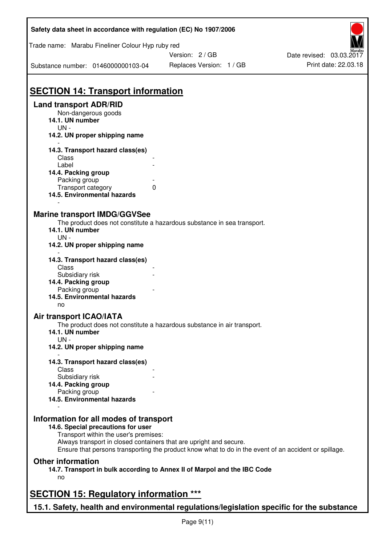| Safety data sheet in accordance with regulation (EC) No 1907/2006                         |                                                                                                       |                          |
|-------------------------------------------------------------------------------------------|-------------------------------------------------------------------------------------------------------|--------------------------|
| Trade name: Marabu Fineliner Colour Hyp ruby red                                          |                                                                                                       |                          |
|                                                                                           | Version: 2 / GB                                                                                       | Date revised: 03.03.2017 |
| Substance number: 0146000000103-04                                                        | Replaces Version: 1 / GB                                                                              | Print date: 22.03.18     |
| <b>SECTION 14: Transport information</b>                                                  |                                                                                                       |                          |
| <b>Land transport ADR/RID</b>                                                             |                                                                                                       |                          |
| Non-dangerous goods                                                                       |                                                                                                       |                          |
| 14.1. UN number                                                                           |                                                                                                       |                          |
| $UN -$                                                                                    |                                                                                                       |                          |
| 14.2. UN proper shipping name                                                             |                                                                                                       |                          |
| 14.3. Transport hazard class(es)                                                          |                                                                                                       |                          |
| Class                                                                                     |                                                                                                       |                          |
| Label                                                                                     |                                                                                                       |                          |
| 14.4. Packing group                                                                       |                                                                                                       |                          |
| Packing group                                                                             |                                                                                                       |                          |
| Transport category                                                                        | 0                                                                                                     |                          |
| 14.5. Environmental hazards                                                               |                                                                                                       |                          |
|                                                                                           |                                                                                                       |                          |
| <b>Marine transport IMDG/GGVSee</b>                                                       |                                                                                                       |                          |
|                                                                                           | The product does not constitute a hazardous substance in sea transport.                               |                          |
| 14.1. UN number                                                                           |                                                                                                       |                          |
| $UN -$                                                                                    |                                                                                                       |                          |
| 14.2. UN proper shipping name                                                             |                                                                                                       |                          |
|                                                                                           |                                                                                                       |                          |
| 14.3. Transport hazard class(es)                                                          |                                                                                                       |                          |
| Class                                                                                     |                                                                                                       |                          |
| Subsidiary risk                                                                           |                                                                                                       |                          |
| 14.4. Packing group                                                                       |                                                                                                       |                          |
| Packing group                                                                             |                                                                                                       |                          |
| 14.5. Environmental hazards                                                               |                                                                                                       |                          |
| no                                                                                        |                                                                                                       |                          |
| <b>Air transport ICAO/IATA</b>                                                            |                                                                                                       |                          |
|                                                                                           | The product does not constitute a hazardous substance in air transport.                               |                          |
| 14.1. UN number                                                                           |                                                                                                       |                          |
| $UN -$                                                                                    |                                                                                                       |                          |
| 14.2. UN proper shipping name                                                             |                                                                                                       |                          |
|                                                                                           |                                                                                                       |                          |
| 14.3. Transport hazard class(es)                                                          |                                                                                                       |                          |
| Class                                                                                     |                                                                                                       |                          |
| Subsidiary risk                                                                           |                                                                                                       |                          |
| 14.4. Packing group                                                                       |                                                                                                       |                          |
| Packing group<br>14.5. Environmental hazards                                              |                                                                                                       |                          |
|                                                                                           |                                                                                                       |                          |
|                                                                                           |                                                                                                       |                          |
| Information for all modes of transport                                                    |                                                                                                       |                          |
| 14.6. Special precautions for user                                                        |                                                                                                       |                          |
| Transport within the user's premises:                                                     |                                                                                                       |                          |
|                                                                                           | Always transport in closed containers that are upright and secure.                                    |                          |
|                                                                                           | Ensure that persons transporting the product know what to do in the event of an accident or spillage. |                          |
| <b>Other information</b>                                                                  |                                                                                                       |                          |
|                                                                                           | 14.7. Transport in bulk according to Annex II of Marpol and the IBC Code                              |                          |
| no                                                                                        |                                                                                                       |                          |
|                                                                                           |                                                                                                       |                          |
| <b>SECTION 15: Regulatory information ***</b>                                             |                                                                                                       |                          |
|                                                                                           |                                                                                                       |                          |
| 15.1. Safety, health and environmental regulations/legislation specific for the substance |                                                                                                       |                          |

٦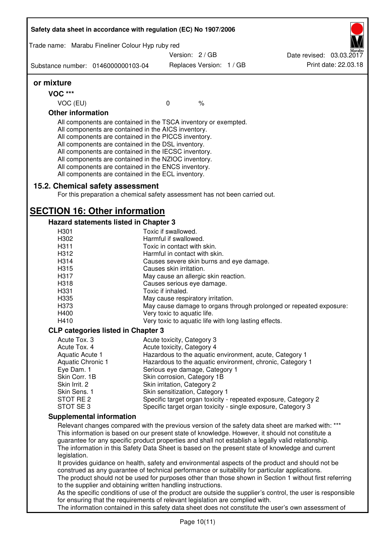|                          | Trade name: Marabu Fineliner Colour Hyp ruby red                                                                                                                                                                                                                                                                                                                                                                                                                  |                                                                     |               |                                                                                                                                                                                                                                                                                                                                                                                                                  |
|--------------------------|-------------------------------------------------------------------------------------------------------------------------------------------------------------------------------------------------------------------------------------------------------------------------------------------------------------------------------------------------------------------------------------------------------------------------------------------------------------------|---------------------------------------------------------------------|---------------|------------------------------------------------------------------------------------------------------------------------------------------------------------------------------------------------------------------------------------------------------------------------------------------------------------------------------------------------------------------------------------------------------------------|
|                          |                                                                                                                                                                                                                                                                                                                                                                                                                                                                   | Version: 2 / GB                                                     |               | Date revised: 03.03.2017                                                                                                                                                                                                                                                                                                                                                                                         |
|                          | Substance number: 0146000000103-04                                                                                                                                                                                                                                                                                                                                                                                                                                | Replaces Version: 1 / GB                                            |               | Print date: 22.03.18                                                                                                                                                                                                                                                                                                                                                                                             |
| or mixture               |                                                                                                                                                                                                                                                                                                                                                                                                                                                                   |                                                                     |               |                                                                                                                                                                                                                                                                                                                                                                                                                  |
| <b>VOC ***</b>           |                                                                                                                                                                                                                                                                                                                                                                                                                                                                   |                                                                     |               |                                                                                                                                                                                                                                                                                                                                                                                                                  |
| VOC (EU)                 |                                                                                                                                                                                                                                                                                                                                                                                                                                                                   | 0                                                                   | $\frac{1}{6}$ |                                                                                                                                                                                                                                                                                                                                                                                                                  |
| <b>Other information</b> |                                                                                                                                                                                                                                                                                                                                                                                                                                                                   |                                                                     |               |                                                                                                                                                                                                                                                                                                                                                                                                                  |
|                          | All components are contained in the TSCA inventory or exempted.<br>All components are contained in the AICS inventory.<br>All components are contained in the PICCS inventory.<br>All components are contained in the DSL inventory.<br>All components are contained in the IECSC inventory.<br>All components are contained in the NZIOC inventory.<br>All components are contained in the ENCS inventory.<br>All components are contained in the ECL inventory. |                                                                     |               |                                                                                                                                                                                                                                                                                                                                                                                                                  |
|                          | 15.2. Chemical safety assessment<br>For this preparation a chemical safety assessment has not been carried out.                                                                                                                                                                                                                                                                                                                                                   |                                                                     |               |                                                                                                                                                                                                                                                                                                                                                                                                                  |
|                          | <b>SECTION 16: Other information</b>                                                                                                                                                                                                                                                                                                                                                                                                                              |                                                                     |               |                                                                                                                                                                                                                                                                                                                                                                                                                  |
|                          | Hazard statements listed in Chapter 3                                                                                                                                                                                                                                                                                                                                                                                                                             |                                                                     |               |                                                                                                                                                                                                                                                                                                                                                                                                                  |
| H301                     |                                                                                                                                                                                                                                                                                                                                                                                                                                                                   | Toxic if swallowed.                                                 |               |                                                                                                                                                                                                                                                                                                                                                                                                                  |
| H302                     |                                                                                                                                                                                                                                                                                                                                                                                                                                                                   | Harmful if swallowed.                                               |               |                                                                                                                                                                                                                                                                                                                                                                                                                  |
| H311<br>H312             |                                                                                                                                                                                                                                                                                                                                                                                                                                                                   | Toxic in contact with skin.<br>Harmful in contact with skin.        |               |                                                                                                                                                                                                                                                                                                                                                                                                                  |
| H314                     |                                                                                                                                                                                                                                                                                                                                                                                                                                                                   |                                                                     |               |                                                                                                                                                                                                                                                                                                                                                                                                                  |
| H315                     |                                                                                                                                                                                                                                                                                                                                                                                                                                                                   | Causes severe skin burns and eye damage.<br>Causes skin irritation. |               |                                                                                                                                                                                                                                                                                                                                                                                                                  |
| H317                     |                                                                                                                                                                                                                                                                                                                                                                                                                                                                   |                                                                     |               |                                                                                                                                                                                                                                                                                                                                                                                                                  |
| H318                     |                                                                                                                                                                                                                                                                                                                                                                                                                                                                   | May cause an allergic skin reaction.                                |               |                                                                                                                                                                                                                                                                                                                                                                                                                  |
| H331                     |                                                                                                                                                                                                                                                                                                                                                                                                                                                                   | Causes serious eye damage.<br>Toxic if inhaled.                     |               |                                                                                                                                                                                                                                                                                                                                                                                                                  |
| H335                     |                                                                                                                                                                                                                                                                                                                                                                                                                                                                   | May cause respiratory irritation.                                   |               |                                                                                                                                                                                                                                                                                                                                                                                                                  |
| H373                     |                                                                                                                                                                                                                                                                                                                                                                                                                                                                   |                                                                     |               | May cause damage to organs through prolonged or repeated exposure:                                                                                                                                                                                                                                                                                                                                               |
| H400                     |                                                                                                                                                                                                                                                                                                                                                                                                                                                                   | Very toxic to aquatic life.                                         |               |                                                                                                                                                                                                                                                                                                                                                                                                                  |
| H410                     |                                                                                                                                                                                                                                                                                                                                                                                                                                                                   | Very toxic to aquatic life with long lasting effects.               |               |                                                                                                                                                                                                                                                                                                                                                                                                                  |
|                          | <b>CLP categories listed in Chapter 3</b>                                                                                                                                                                                                                                                                                                                                                                                                                         |                                                                     |               |                                                                                                                                                                                                                                                                                                                                                                                                                  |
| Acute Tox. 3             |                                                                                                                                                                                                                                                                                                                                                                                                                                                                   | Acute toxicity, Category 3                                          |               |                                                                                                                                                                                                                                                                                                                                                                                                                  |
| Acute Tox. 4             |                                                                                                                                                                                                                                                                                                                                                                                                                                                                   | Acute toxicity, Category 4                                          |               |                                                                                                                                                                                                                                                                                                                                                                                                                  |
| Aquatic Acute 1          |                                                                                                                                                                                                                                                                                                                                                                                                                                                                   |                                                                     |               | Hazardous to the aquatic environment, acute, Category 1                                                                                                                                                                                                                                                                                                                                                          |
| Aquatic Chronic 1        |                                                                                                                                                                                                                                                                                                                                                                                                                                                                   |                                                                     |               | Hazardous to the aquatic environment, chronic, Category 1                                                                                                                                                                                                                                                                                                                                                        |
| Eye Dam. 1               |                                                                                                                                                                                                                                                                                                                                                                                                                                                                   | Serious eye damage, Category 1                                      |               |                                                                                                                                                                                                                                                                                                                                                                                                                  |
| Skin Corr. 1B            |                                                                                                                                                                                                                                                                                                                                                                                                                                                                   | Skin corrosion, Category 1B                                         |               |                                                                                                                                                                                                                                                                                                                                                                                                                  |
| Skin Irrit. 2            |                                                                                                                                                                                                                                                                                                                                                                                                                                                                   | Skin irritation, Category 2                                         |               |                                                                                                                                                                                                                                                                                                                                                                                                                  |
| Skin Sens. 1             |                                                                                                                                                                                                                                                                                                                                                                                                                                                                   | Skin sensitization, Category 1                                      |               |                                                                                                                                                                                                                                                                                                                                                                                                                  |
| STOT RE 2                |                                                                                                                                                                                                                                                                                                                                                                                                                                                                   |                                                                     |               | Specific target organ toxicity - repeated exposure, Category 2                                                                                                                                                                                                                                                                                                                                                   |
| STOT SE 3                |                                                                                                                                                                                                                                                                                                                                                                                                                                                                   |                                                                     |               | Specific target organ toxicity - single exposure, Category 3                                                                                                                                                                                                                                                                                                                                                     |
|                          | <b>Supplemental information</b>                                                                                                                                                                                                                                                                                                                                                                                                                                   |                                                                     |               |                                                                                                                                                                                                                                                                                                                                                                                                                  |
| legislation.             |                                                                                                                                                                                                                                                                                                                                                                                                                                                                   |                                                                     |               | Relevant changes compared with the previous version of the safety data sheet are marked with: ***<br>This information is based on our present state of knowledge. However, it should not constitute a<br>guarantee for any specific product properties and shall not establish a legally valid relationship.<br>The information in this Safety Data Sheet is based on the present state of knowledge and current |
|                          |                                                                                                                                                                                                                                                                                                                                                                                                                                                                   |                                                                     |               | It provides guidance on health, safety and environmental aspects of the product and should not be<br>construed as any guarantee of technical performance or suitability for particular applications.<br>The product should not be used for purposes other than those shown in Section 1 without first referring                                                                                                  |
|                          | to the supplier and obtaining written handling instructions.<br>for ensuring that the requirements of relevant legislation are complied with.                                                                                                                                                                                                                                                                                                                     |                                                                     |               | As the specific conditions of use of the product are outside the supplier's control, the user is responsible<br>The information contained in this safety data sheet does not constitute the user's own assessment of                                                                                                                                                                                             |